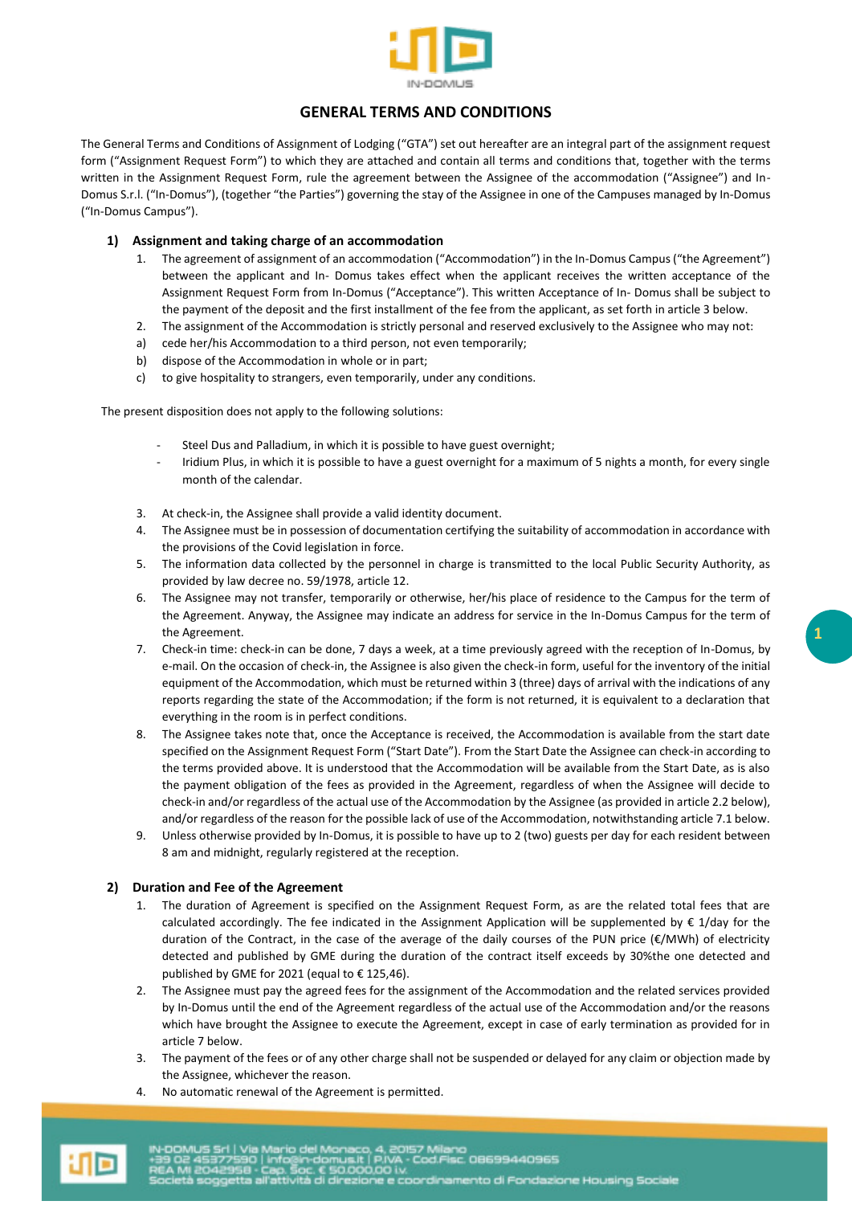

# **GENERAL TERMS AND CONDITIONS**

The General Terms and Conditions of Assignment of Lodging ("GTA") set out hereafter are an integral part of the assignment request form ("Assignment Request Form") to which they are attached and contain all terms and conditions that, together with the terms written in the Assignment Request Form, rule the agreement between the Assignee of the accommodation ("Assignee") and In-Domus S.r.l. ("In-Domus"), (together "the Parties") governing the stay of the Assignee in one of the Campuses managed by In-Domus ("In-Domus Campus").

# **1) Assignment and taking charge of an accommodation**

- 1. The agreement of assignment of an accommodation ("Accommodation") in the In-Domus Campus ("the Agreement") between the applicant and In- Domus takes effect when the applicant receives the written acceptance of the Assignment Request Form from In-Domus ("Acceptance"). This written Acceptance of In- Domus shall be subject to the payment of the deposit and the first installment of the fee from the applicant, as set forth in article 3 below.
- 2. The assignment of the Accommodation is strictly personal and reserved exclusively to the Assignee who may not:
- a) cede her/his Accommodation to a third person, not even temporarily;
- b) dispose of the Accommodation in whole or in part;
- c) to give hospitality to strangers, even temporarily, under any conditions.

The present disposition does not apply to the following solutions:

- Steel Dus and Palladium, in which it is possible to have guest overnight;
- Iridium Plus, in which it is possible to have a guest overnight for a maximum of 5 nights a month, for every single month of the calendar.
- 3. At check-in, the Assignee shall provide a valid identity document.
- 4. The Assignee must be in possession of documentation certifying the suitability of accommodation in accordance with the provisions of the Covid legislation in force.
- 5. The information data collected by the personnel in charge is transmitted to the local Public Security Authority, as provided by law decree no. 59/1978, article 12.
- 6. The Assignee may not transfer, temporarily or otherwise, her/his place of residence to the Campus for the term of the Agreement. Anyway, the Assignee may indicate an address for service in the In-Domus Campus for the term of the Agreement.
- 7. Check-in time: check-in can be done, 7 days a week, at a time previously agreed with the reception of In-Domus, by e-mail. On the occasion of check-in, the Assignee is also given the check-in form, useful for the inventory of the initial equipment of the Accommodation, which must be returned within 3 (three) days of arrival with the indications of any reports regarding the state of the Accommodation; if the form is not returned, it is equivalent to a declaration that everything in the room is in perfect conditions.
- 8. The Assignee takes note that, once the Acceptance is received, the Accommodation is available from the start date specified on the Assignment Request Form ("Start Date"). From the Start Date the Assignee can check-in according to the terms provided above. It is understood that the Accommodation will be available from the Start Date, as is also the payment obligation of the fees as provided in the Agreement, regardless of when the Assignee will decide to check-in and/or regardless of the actual use of the Accommodation by the Assignee (as provided in article 2.2 below), and/or regardless of the reason for the possible lack of use of the Accommodation, notwithstanding article 7.1 below.
- 9. Unless otherwise provided by In-Domus, it is possible to have up to 2 (two) guests per day for each resident between 8 am and midnight, regularly registered at the reception.

## **2) Duration and Fee of the Agreement**

- 1. The duration of Agreement is specified on the Assignment Request Form, as are the related total fees that are calculated accordingly. The fee indicated in the Assignment Application will be supplemented by € 1/day for the duration of the Contract, in the case of the average of the daily courses of the PUN price (€/MWh) of electricity detected and published by GME during the duration of the contract itself exceeds by 30%the one detected and published by GME for 2021 (equal to € 125,46).
- 2. The Assignee must pay the agreed fees for the assignment of the Accommodation and the related services provided by In-Domus until the end of the Agreement regardless of the actual use of the Accommodation and/or the reasons which have brought the Assignee to execute the Agreement, except in case of early termination as provided for in article 7 below.
- 3. The payment of the fees or of any other charge shall not be suspended or delayed for any claim or objection made by the Assignee, whichever the reason.
- 4. No automatic renewal of the Agreement is permitted.

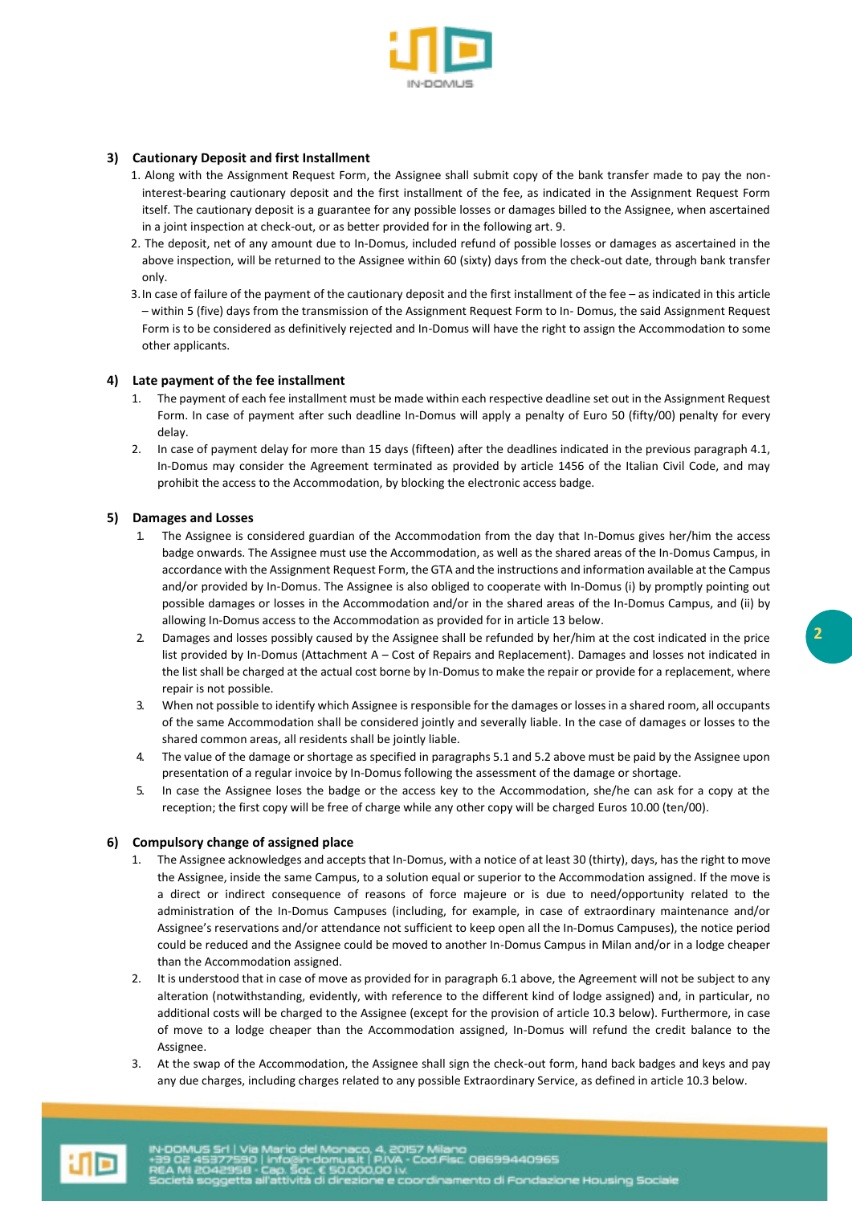

# **3) Cautionary Deposit and first Installment**

- 1. Along with the Assignment Request Form, the Assignee shall submit copy of the bank transfer made to pay the noninterest-bearing cautionary deposit and the first installment of the fee, as indicated in the Assignment Request Form itself. The cautionary deposit is a guarantee for any possible losses or damages billed to the Assignee, when ascertained in a joint inspection at check-out, or as better provided for in the following art. 9.
- 2. The deposit, net of any amount due to In-Domus, included refund of possible losses or damages as ascertained in the above inspection, will be returned to the Assignee within 60 (sixty) days from the check-out date, through bank transfer only.
- 3.In case of failure of the payment of the cautionary deposit and the first installment of the fee as indicated in this article – within 5 (five) days from the transmission of the Assignment Request Form to In- Domus, the said Assignment Request Form is to be considered as definitively rejected and In-Domus will have the right to assign the Accommodation to some other applicants.

# **4) Late payment of the fee installment**

- 1. The payment of each fee installment must be made within each respective deadline set out in the Assignment Request Form. In case of payment after such deadline In-Domus will apply a penalty of Euro 50 (fifty/00) penalty for every delay.
- 2. In case of payment delay for more than 15 days (fifteen) after the deadlines indicated in the previous paragraph 4.1, In-Domus may consider the Agreement terminated as provided by article 1456 of the Italian Civil Code, and may prohibit the access to the Accommodation, by blocking the electronic access badge.

## **5) Damages and Losses**

- 1. The Assignee is considered guardian of the Accommodation from the day that In-Domus gives her/him the access badge onwards. The Assignee must use the Accommodation, as well as the shared areas of the In-Domus Campus, in accordance with the Assignment Request Form, the GTA and the instructions and information available at the Campus and/or provided by In-Domus. The Assignee is also obliged to cooperate with In-Domus (i) by promptly pointing out possible damages or losses in the Accommodation and/or in the shared areas of the In-Domus Campus, and (ii) by allowing In-Domus access to the Accommodation as provided for in article 13 below.
- 2. Damages and losses possibly caused by the Assignee shall be refunded by her/him at the cost indicated in the price list provided by In-Domus (Attachment A – Cost of Repairs and Replacement). Damages and losses not indicated in the list shall be charged at the actual cost borne by In-Domus to make the repair or provide for a replacement, where repair is not possible.
- 3. When not possible to identify which Assignee is responsible for the damages or losses in a shared room, all occupants of the same Accommodation shall be considered jointly and severally liable. In the case of damages or losses to the shared common areas, all residents shall be jointly liable.
- 4. The value of the damage or shortage as specified in paragraphs 5.1 and 5.2 above must be paid by the Assignee upon presentation of a regular invoice by In-Domus following the assessment of the damage or shortage.
- 5. In case the Assignee loses the badge or the access key to the Accommodation, she/he can ask for a copy at the reception; the first copy will be free of charge while any other copy will be charged Euros 10.00 (ten/00).

## **6) Compulsory change of assigned place**

- 1. The Assignee acknowledges and accepts that In-Domus, with a notice of at least 30 (thirty), days, has the right to move the Assignee, inside the same Campus, to a solution equal or superior to the Accommodation assigned. If the move is a direct or indirect consequence of reasons of force majeure or is due to need/opportunity related to the administration of the In-Domus Campuses (including, for example, in case of extraordinary maintenance and/or Assignee's reservations and/or attendance not sufficient to keep open all the In-Domus Campuses), the notice period could be reduced and the Assignee could be moved to another In-Domus Campus in Milan and/or in a lodge cheaper than the Accommodation assigned.
- 2. It is understood that in case of move as provided for in paragraph 6.1 above, the Agreement will not be subject to any alteration (notwithstanding, evidently, with reference to the different kind of lodge assigned) and, in particular, no additional costs will be charged to the Assignee (except for the provision of article 10.3 below). Furthermore, in case of move to a lodge cheaper than the Accommodation assigned, In-Domus will refund the credit balance to the Assignee.
- 3. At the swap of the Accommodation, the Assignee shall sign the check-out form, hand back badges and keys and pay any due charges, including charges related to any possible Extraordinary Service, as defined in article 10.3 below.

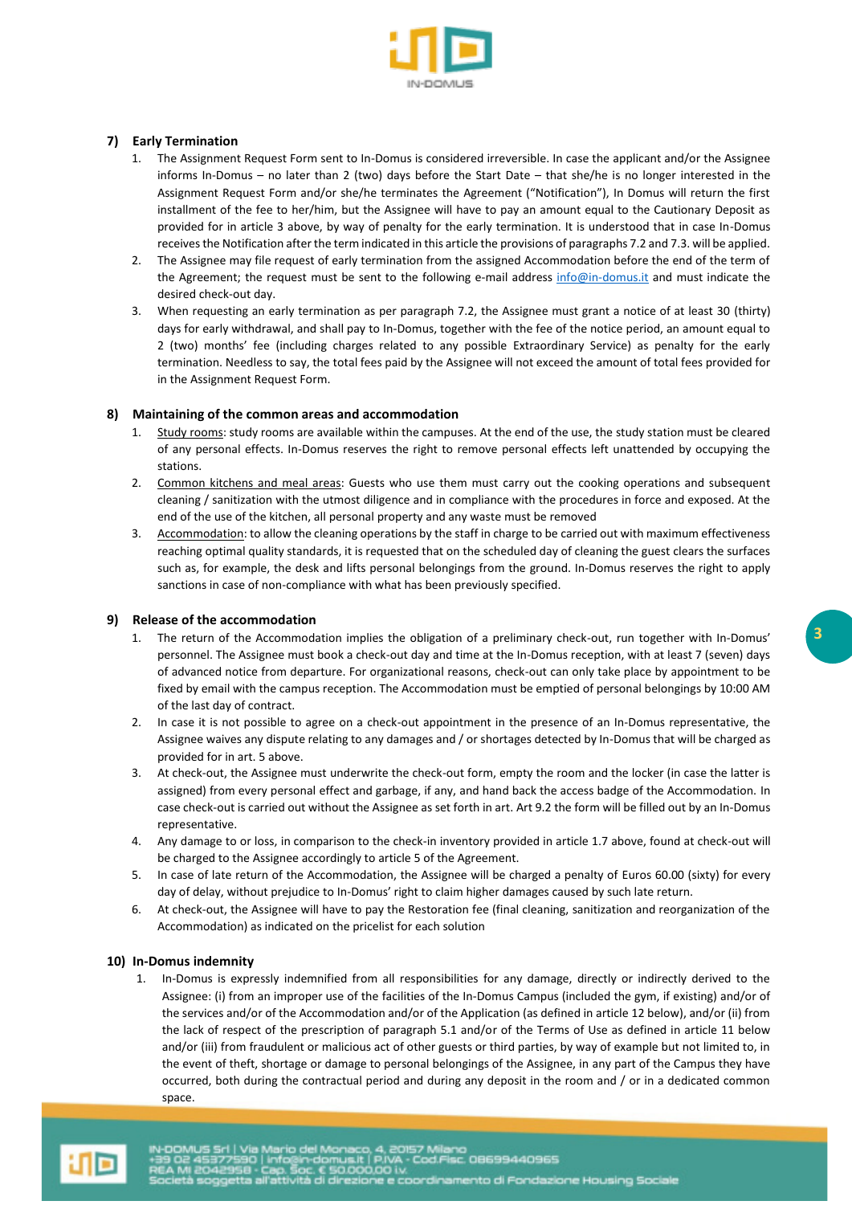

# **7) Early Termination**

- 1. The Assignment Request Form sent to In-Domus is considered irreversible. In case the applicant and/or the Assignee informs In-Domus – no later than 2 (two) days before the Start Date – that she/he is no longer interested in the Assignment Request Form and/or she/he terminates the Agreement ("Notification"), In Domus will return the first installment of the fee to her/him, but the Assignee will have to pay an amount equal to the Cautionary Deposit as provided for in article 3 above, by way of penalty for the early termination. It is understood that in case In-Domus receives the Notification after the term indicated in this article the provisions of paragraphs 7.2 and 7.3. will be applied.
- 2. The Assignee may file request of early termination from the assigned Accommodation before the end of the term of the Agreement; the request must be sent to the following e-mail address [info@in-domus.it](mailto:info@in-domus.it) and must indicate the desired check-out day.
- 3. When requesting an early termination as per paragraph 7.2, the Assignee must grant a notice of at least 30 (thirty) days for early withdrawal, and shall pay to In-Domus, together with the fee of the notice period, an amount equal to 2 (two) months' fee (including charges related to any possible Extraordinary Service) as penalty for the early termination. Needless to say, the total fees paid by the Assignee will not exceed the amount of total fees provided for in the Assignment Request Form.

# **8) Maintaining of the common areas and accommodation**

- 1. Study rooms: study rooms are available within the campuses. At the end of the use, the study station must be cleared of any personal effects. In-Domus reserves the right to remove personal effects left unattended by occupying the stations.
- 2. Common kitchens and meal areas: Guests who use them must carry out the cooking operations and subsequent cleaning / sanitization with the utmost diligence and in compliance with the procedures in force and exposed. At the end of the use of the kitchen, all personal property and any waste must be removed
- 3. Accommodation: to allow the cleaning operations by the staff in charge to be carried out with maximum effectiveness reaching optimal quality standards, it is requested that on the scheduled day of cleaning the guest clears the surfaces such as, for example, the desk and lifts personal belongings from the ground. In-Domus reserves the right to apply sanctions in case of non-compliance with what has been previously specified.

## **9) Release of the accommodation**

- 1. The return of the Accommodation implies the obligation of a preliminary check-out, run together with In-Domus' personnel. The Assignee must book a check-out day and time at the In-Domus reception, with at least 7 (seven) days of advanced notice from departure. For organizational reasons, check-out can only take place by appointment to be fixed by email with the campus reception. The Accommodation must be emptied of personal belongings by 10:00 AM of the last day of contract.
- 2. In case it is not possible to agree on a check-out appointment in the presence of an In-Domus representative, the Assignee waives any dispute relating to any damages and / or shortages detected by In-Domus that will be charged as provided for in art. 5 above.
- 3. At check-out, the Assignee must underwrite the check-out form, empty the room and the locker (in case the latter is assigned) from every personal effect and garbage, if any, and hand back the access badge of the Accommodation. In case check-out is carried out without the Assignee as set forth in art. Art 9.2 the form will be filled out by an In-Domus representative.
- 4. Any damage to or loss, in comparison to the check-in inventory provided in article 1.7 above, found at check-out will be charged to the Assignee accordingly to article 5 of the Agreement.
- 5. In case of late return of the Accommodation, the Assignee will be charged a penalty of Euros 60.00 (sixty) for every day of delay, without prejudice to In-Domus' right to claim higher damages caused by such late return.
- 6. At check-out, the Assignee will have to pay the Restoration fee (final cleaning, sanitization and reorganization of the Accommodation) as indicated on the pricelist for each solution

## **10) In-Domus indemnity**

1. In-Domus is expressly indemnified from all responsibilities for any damage, directly or indirectly derived to the Assignee: (i) from an improper use of the facilities of the In-Domus Campus (included the gym, if existing) and/or of the services and/or of the Accommodation and/or of the Application (as defined in article 12 below), and/or (ii) from the lack of respect of the prescription of paragraph 5.1 and/or of the Terms of Use as defined in article 11 below and/or (iii) from fraudulent or malicious act of other guests or third parties, by way of example but not limited to, in the event of theft, shortage or damage to personal belongings of the Assignee, in any part of the Campus they have occurred, both during the contractual period and during any deposit in the room and / or in a dedicated common space.

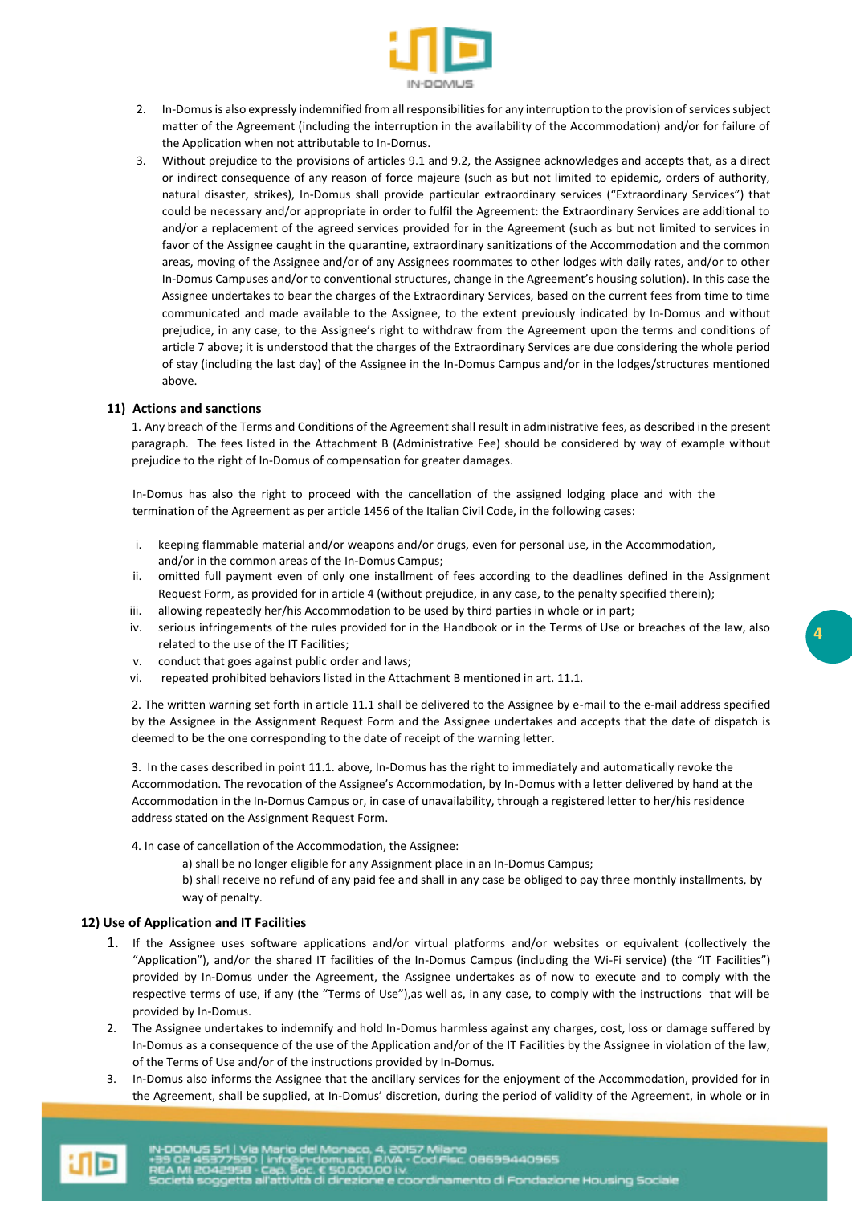

- 2. In-Domus is also expressly indemnified from all responsibilities for any interruption to the provision of services subject matter of the Agreement (including the interruption in the availability of the Accommodation) and/or for failure of the Application when not attributable to In-Domus.
- 3. Without prejudice to the provisions of articles 9.1 and 9.2, the Assignee acknowledges and accepts that, as a direct or indirect consequence of any reason of force majeure (such as but not limited to epidemic, orders of authority, natural disaster, strikes), In-Domus shall provide particular extraordinary services ("Extraordinary Services") that could be necessary and/or appropriate in order to fulfil the Agreement: the Extraordinary Services are additional to and/or a replacement of the agreed services provided for in the Agreement (such as but not limited to services in favor of the Assignee caught in the quarantine, extraordinary sanitizations of the Accommodation and the common areas, moving of the Assignee and/or of any Assignees roommates to other lodges with daily rates, and/or to other In-Domus Campuses and/or to conventional structures, change in the Agreement's housing solution). In this case the Assignee undertakes to bear the charges of the Extraordinary Services, based on the current fees from time to time communicated and made available to the Assignee, to the extent previously indicated by In-Domus and without prejudice, in any case, to the Assignee's right to withdraw from the Agreement upon the terms and conditions of article 7 above; it is understood that the charges of the Extraordinary Services are due considering the whole period of stay (including the last day) of the Assignee in the In-Domus Campus and/or in the lodges/structures mentioned above.

## **11) Actions and sanctions**

1. Any breach of the Terms and Conditions of the Agreement shall result in administrative fees, as described in the present paragraph. The fees listed in the Attachment B (Administrative Fee) should be considered by way of example without prejudice to the right of In-Domus of compensation for greater damages.

In-Domus has also the right to proceed with the cancellation of the assigned lodging place and with the termination of the Agreement as per article 1456 of the Italian Civil Code, in the following cases:

- i. keeping flammable material and/or weapons and/or drugs, even for personal use, in the Accommodation, and/or in the common areas of the In-Domus Campus;
- ii. omitted full payment even of only one installment of fees according to the deadlines defined in the Assignment Request Form, as provided for in article 4 (without prejudice, in any case, to the penalty specified therein);
- iii. allowing repeatedly her/his Accommodation to be used by third parties in whole or in part;
- iv. serious infringements of the rules provided for in the Handbook or in the Terms of Use or breaches of the law, also related to the use of the IT Facilities;
- v. conduct that goes against public order and laws;
- vi. repeated prohibited behaviors listed in the Attachment B mentioned in art. 11.1.

2. The written warning set forth in article 11.1 shall be delivered to the Assignee by e-mail to the e-mail address specified by the Assignee in the Assignment Request Form and the Assignee undertakes and accepts that the date of dispatch is deemed to be the one corresponding to the date of receipt of the warning letter.

3. In the cases described in point 11.1. above, In-Domus has the right to immediately and automatically revoke the Accommodation. The revocation of the Assignee's Accommodation, by In-Domus with a letter delivered by hand at the Accommodation in the In-Domus Campus or, in case of unavailability, through a registered letter to her/his residence address stated on the Assignment Request Form.

4. In case of cancellation of the Accommodation, the Assignee:

a) shall be no longer eligible for any Assignment place in an In-Domus Campus;

b) shall receive no refund of any paid fee and shall in any case be obliged to pay three monthly installments, by way of penalty.

## **12) Use of Application and IT Facilities**

- 1. If the Assignee uses software applications and/or virtual platforms and/or websites or equivalent (collectively the "Application"), and/or the shared IT facilities of the In-Domus Campus (including the Wi-Fi service) (the "IT Facilities") provided by In-Domus under the Agreement, the Assignee undertakes as of now to execute and to comply with the respective terms of use, if any (the "Terms of Use"),as well as, in any case, to comply with the instructions that will be provided by In-Domus.
- 2. The Assignee undertakes to indemnify and hold In-Domus harmless against any charges, cost, loss or damage suffered by In-Domus as a consequence of the use of the Application and/or of the IT Facilities by the Assignee in violation of the law, of the Terms of Use and/or of the instructions provided by In-Domus.
- 3. In-Domus also informs the Assignee that the ancillary services for the enjoyment of the Accommodation, provided for in the Agreement, shall be supplied, at In-Domus' discretion, during the period of validity of the Agreement, in whole or in

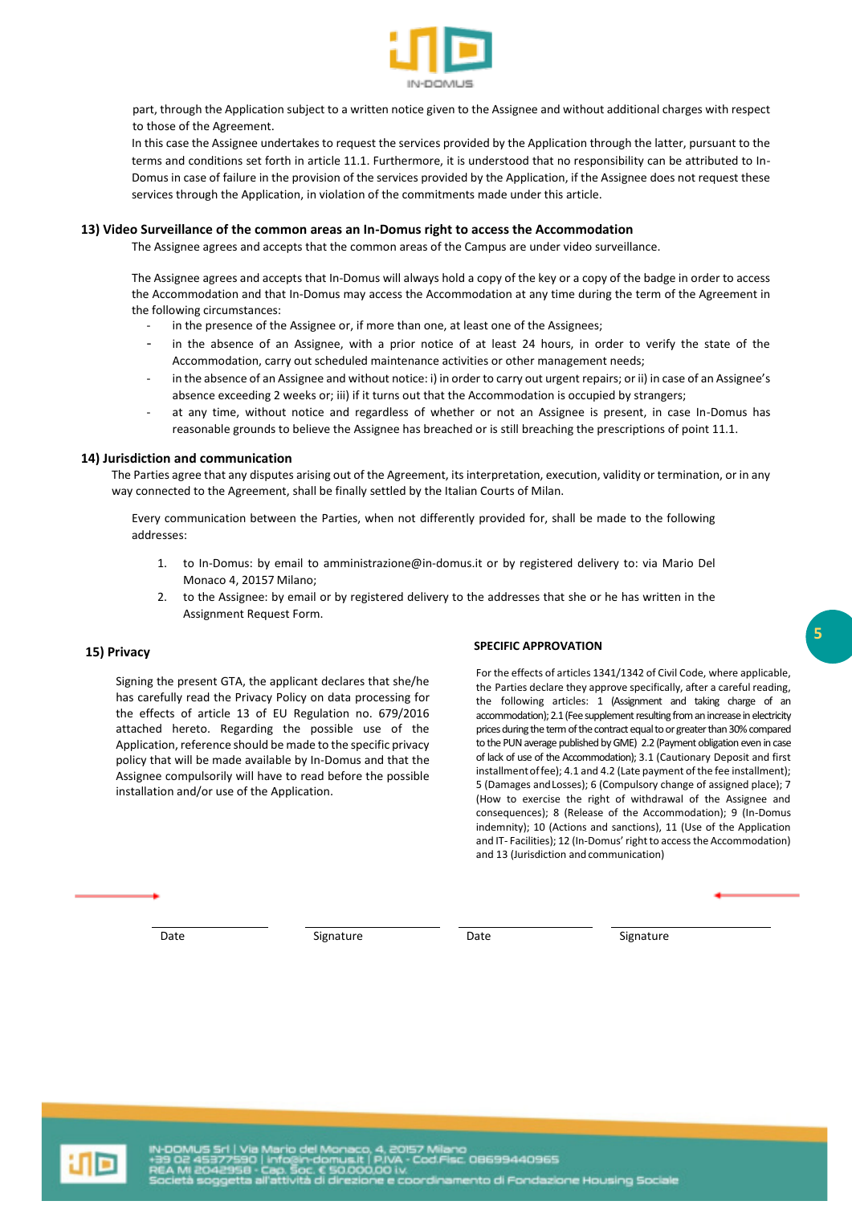

part, through the Application subject to a written notice given to the Assignee and without additional charges with respect to those of the Agreement.

In this case the Assignee undertakes to request the services provided by the Application through the latter, pursuant to the terms and conditions set forth in article 11.1. Furthermore, it is understood that no responsibility can be attributed to In-Domus in case of failure in the provision of the services provided by the Application, if the Assignee does not request these services through the Application, in violation of the commitments made under this article.

### **13) Video Surveillance of the common areas an In-Domus right to access the Accommodation**

The Assignee agrees and accepts that the common areas of the Campus are under video surveillance.

The Assignee agrees and accepts that In-Domus will always hold a copy of the key or a copy of the badge in order to access the Accommodation and that In-Domus may access the Accommodation at any time during the term of the Agreement in the following circumstances:

- in the presence of the Assignee or, if more than one, at least one of the Assignees;
- in the absence of an Assignee, with a prior notice of at least 24 hours, in order to verify the state of the Accommodation, carry out scheduled maintenance activities or other management needs;
- in the absence of an Assignee and without notice: i) in order to carry out urgent repairs; or ii) in case of an Assignee's absence exceeding 2 weeks or; iii) if it turns out that the Accommodation is occupied by strangers;
- at any time, without notice and regardless of whether or not an Assignee is present, in case In-Domus has reasonable grounds to believe the Assignee has breached or is still breaching the prescriptions of point 11.1.

#### **14) Jurisdiction and communication**

The Parties agree that any disputes arising out of the Agreement, its interpretation, execution, validity or termination, or in any way connected to the Agreement, shall be finally settled by the Italian Courts of Milan.

Every communication between the Parties, when not differently provided for, shall be made to the following addresses:

- 1. to In-Domus: by email to [amministrazione@in-domus.it](mailto:amministrazione@in-domus.it) or by registered delivery to: via Mario Del Monaco 4, 20157 Milano;
- 2. to the Assignee: by email or by registered delivery to the addresses that she or he has written in the Assignment Request Form.

 **SPECIFIC APPROVATION** 

# **15) Privacy**

Signing the present GTA, the applicant declares that she/he has carefully read the Privacy Policy on data processing for the effects of article 13 of EU Regulation no. 679/2016 attached hereto. Regarding the possible use of the Application, reference should be made to the specific privacy policy that will be made available by In-Domus and that the Assignee compulsorily will have to read before the possible installation and/or use of the Application.

For the effects of articles 1341/1342 of Civil Code, where applicable, the Parties declare they approve specifically, after a careful reading, the following articles: 1 (Assignment and taking charge of an accommodation); 2.1 (Fee supplement resulting from an increase in electricity prices during the term of the contract equal to or greater than 30% compared to the PUN average published by GME) 2.2 (Payment obligation even in case of lack of use of the Accommodation); 3.1 (Cautionary Deposit and first installment of fee); 4.1 and 4.2 (Late payment of the fee installment); 5 (Damages and Losses); 6 (Compulsory change of assigned place); 7 (How to exercise the right of withdrawal of the Assignee and consequences); 8 (Release of the Accommodation); 9 (In-Domus indemnity); 10 (Actions and sanctions), 11 (Use of the Application and IT- Facilities); 12 (In-Domus' right to access the Accommodation) and 13 (Jurisdiction and communication)

Date Signature Date Signature Date Signature

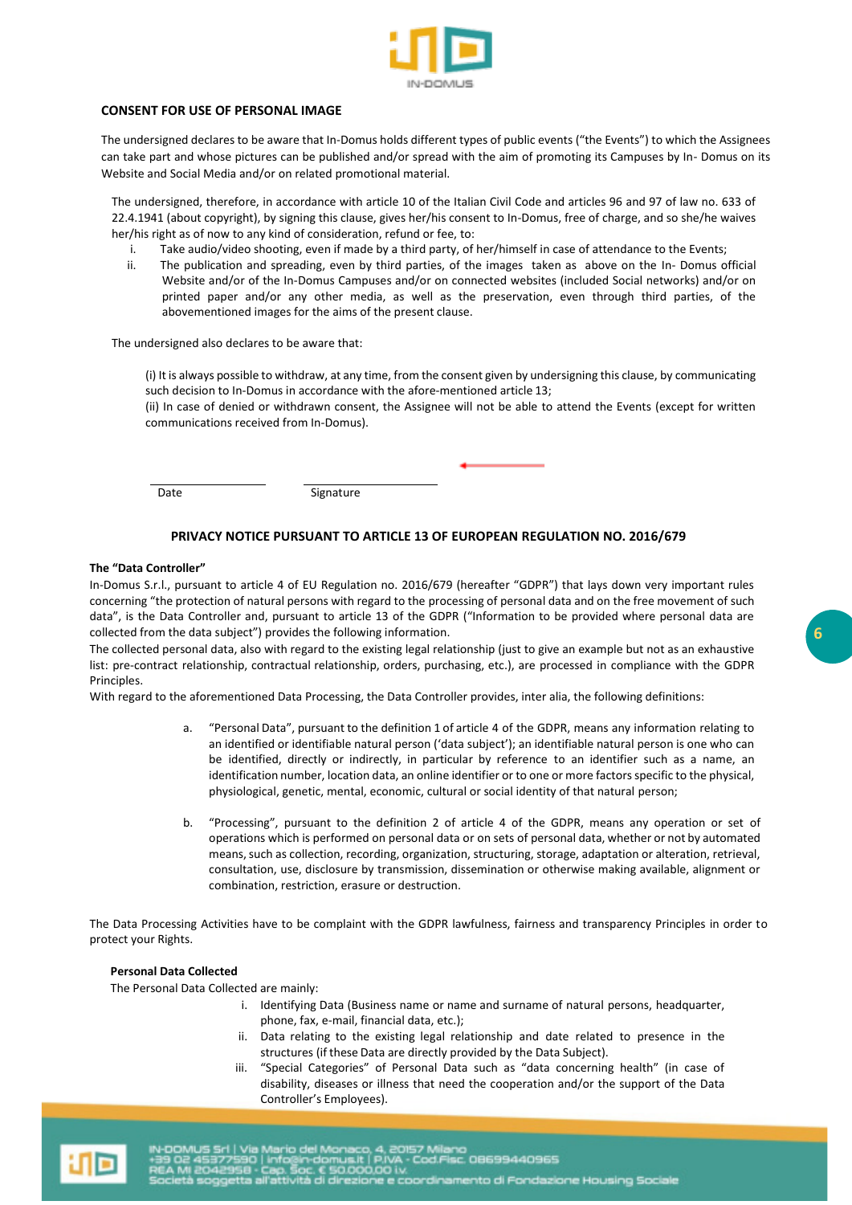

# **CONSENT FOR USE OF PERSONAL IMAGE**

The undersigned declares to be aware that In-Domus holds different types of public events ("the Events") to which the Assignees can take part and whose pictures can be published and/or spread with the aim of promoting its Campuses by In- Domus on its Website and Social Media and/or on related promotional material.

The undersigned, therefore, in accordance with article 10 of the Italian Civil Code and articles 96 and 97 of law no. 633 of 22.4.1941 (about copyright), by signing this clause, gives her/his consent to In-Domus, free of charge, and so she/he waives her/his right as of now to any kind of consideration, refund or fee, to:

- i. Take audio/video shooting, even if made by a third party, of her/himself in case of attendance to the Events;
- ii. The publication and spreading, even by third parties, of the images taken as above on the In- Domus official Website and/or of the In-Domus Campuses and/or on connected websites (included Social networks) and/or on printed paper and/or any other media, as well as the preservation, even through third parties, of the abovementioned images for the aims of the present clause.

The undersigned also declares to be aware that:

(i) It is always possible to withdraw, at any time, from the consent given by undersigning this clause, by communicating such decision to In-Domus in accordance with the afore-mentioned article 13;

(ii) In case of denied or withdrawn consent, the Assignee will not be able to attend the Events (except for written communications received from In-Domus).

Date Signature

# **PRIVACY NOTICE PURSUANT TO ARTICLE 13 OF EUROPEAN REGULATION NO. 2016/679**

#### **The "Data Controller"**

In-Domus S.r.l., pursuant to article 4 of EU Regulation no. 2016/679 (hereafter "GDPR") that lays down very important rules concerning "the protection of natural persons with regard to the processing of personal data and on the free movement of such data", is the Data Controller and, pursuant to article 13 of the GDPR ("Information to be provided where personal data are collected from the data subject") provides the following information.

The collected personal data, also with regard to the existing legal relationship (just to give an example but not as an exhaustive list: pre-contract relationship, contractual relationship, orders, purchasing, etc.), are processed in compliance with the GDPR Principles.

With regard to the aforementioned Data Processing, the Data Controller provides, inter alia, the following definitions:

- a. "Personal Data", pursuant to the definition 1 of article 4 of the GDPR, means any information relating to an identified or identifiable natural person ('data subject'); an identifiable natural person is one who can be identified, directly or indirectly, in particular by reference to an identifier such as a name, an identification number, location data, an online identifier or to one or more factors specific to the physical, physiological, genetic, mental, economic, cultural or social identity of that natural person;
- b. "Processing", pursuant to the definition 2 of article 4 of the GDPR, means any operation or set of operations which is performed on personal data or on sets of personal data, whether or not by automated means, such as collection, recording, organization, structuring, storage, adaptation or alteration, retrieval, consultation, use, disclosure by transmission, dissemination or otherwise making available, alignment or combination, restriction, erasure or destruction.

The Data Processing Activities have to be complaint with the GDPR lawfulness, fairness and transparency Principles in order to protect your Rights.

#### **Personal Data Collected**

The Personal Data Collected are mainly:

- i. Identifying Data (Business name or name and surname of natural persons, headquarter, phone, fax, e-mail, financial data, etc.);
- ii. Data relating to the existing legal relationship and date related to presence in the structures (if these Data are directly provided by the Data Subject).
- iii. "Special Categories" of Personal Data such as "data concerning health" (in case of disability, diseases or illness that need the cooperation and/or the support of the Data Controller's Employees).

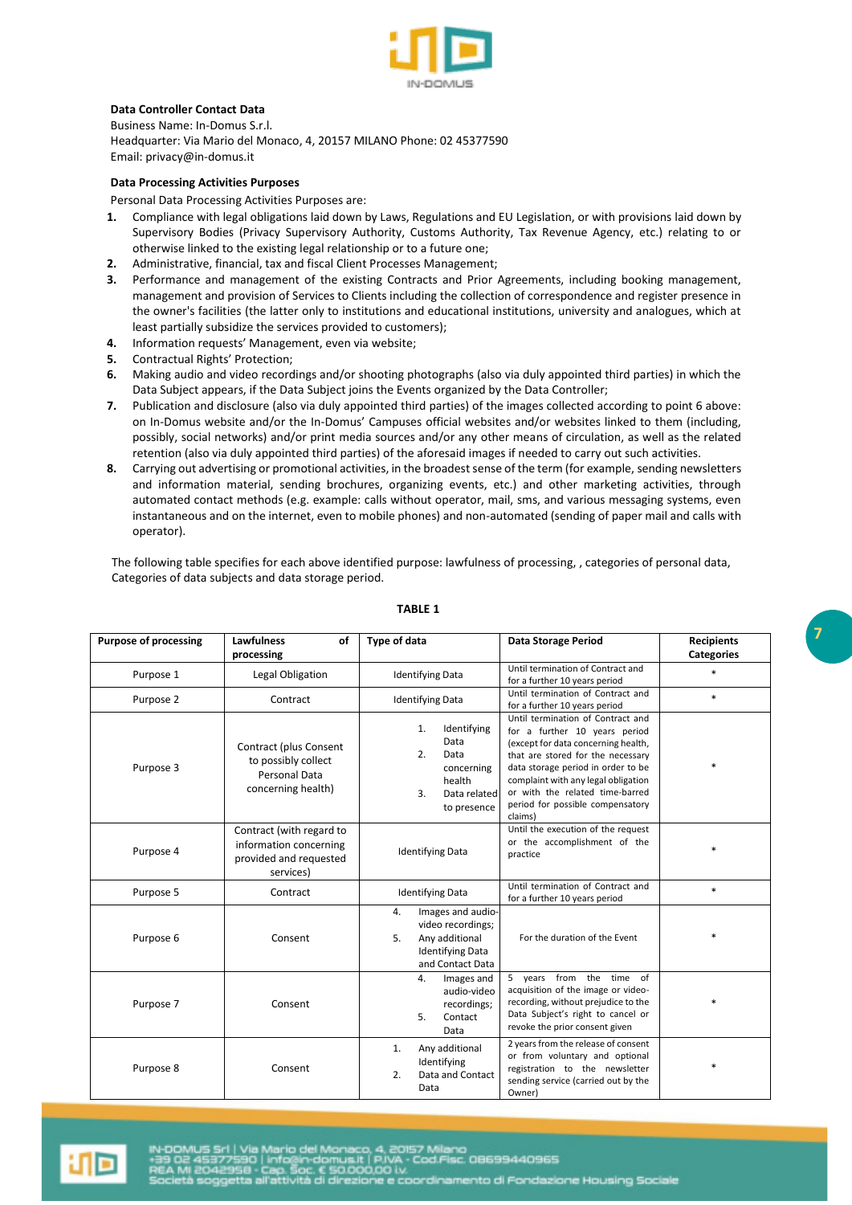

# **Data Controller Contact Data**

Business Name: In-Domus S.r.l. Headquarter: Via Mario del Monaco, 4, 20157 MILANO Phone: 02 45377590 Ema[il: privacy@in-domus.it](mailto:privacy@in-domus.it) 

## **Data Processing Activities Purposes**

Personal Data Processing Activities Purposes are:

- **1.** Compliance with legal obligations laid down by Laws, Regulations and EU Legislation, or with provisions laid down by Supervisory Bodies (Privacy Supervisory Authority, Customs Authority, Tax Revenue Agency, etc.) relating to or otherwise linked to the existing legal relationship or to a future one;
- **2.** Administrative, financial, tax and fiscal Client Processes Management;
- **3.** Performance and management of the existing Contracts and Prior Agreements, including booking management, management and provision of Services to Clients including the collection of correspondence and register presence in the owner's facilities (the latter only to institutions and educational institutions, university and analogues, which at least partially subsidize the services provided to customers);
- **4.** Information requests' Management, even via website;
- **5.** Contractual Rights' Protection;
- **6.** Making audio and video recordings and/or shooting photographs (also via duly appointed third parties) in which the Data Subject appears, if the Data Subject joins the Events organized by the Data Controller;
- **7.** Publication and disclosure (also via duly appointed third parties) of the images collected according to point 6 above: on In-Domus website and/or the In-Domus' Campuses official websites and/or websites linked to them (including, possibly, social networks) and/or print media sources and/or any other means of circulation, as well as the related retention (also via duly appointed third parties) of the aforesaid images if needed to carry out such activities.
- **8.** Carrying out advertising or promotional activities, in the broadest sense of the term (for example, sending newsletters and information material, sending brochures, organizing events, etc.) and other marketing activities, through automated contact methods (e.g. example: calls without operator, mail, sms, and various messaging systems, even instantaneous and on the internet, even to mobile phones) and non-automated (sending of paper mail and calls with operator).

The following table specifies for each above identified purpose: lawfulness of processing, , categories of personal data, Categories of data subjects and data storage period.

| <b>Purpose of processing</b> | <b>Lawfulness</b><br>of                                                                   | <b>Type of data</b>                                                                                                               | Data Storage Period                                                                                                                                                                                                                                                                                           | <b>Recipients</b> |
|------------------------------|-------------------------------------------------------------------------------------------|-----------------------------------------------------------------------------------------------------------------------------------|---------------------------------------------------------------------------------------------------------------------------------------------------------------------------------------------------------------------------------------------------------------------------------------------------------------|-------------------|
|                              | processing                                                                                |                                                                                                                                   |                                                                                                                                                                                                                                                                                                               | Categories        |
| Purpose 1                    | Legal Obligation                                                                          | <b>Identifying Data</b>                                                                                                           | Until termination of Contract and<br>for a further 10 years period                                                                                                                                                                                                                                            | $\ast$            |
| Purpose 2                    | Contract                                                                                  | <b>Identifying Data</b>                                                                                                           | Until termination of Contract and<br>for a further 10 years period                                                                                                                                                                                                                                            | $\ast$            |
| Purpose 3                    | Contract (plus Consent<br>to possibly collect<br>Personal Data<br>concerning health)      | 1.<br>Identifying<br>Data<br>2.<br>Data<br>concerning<br>health<br>3.<br>Data related<br>to presence                              | Until termination of Contract and<br>for a further 10 years period<br>(except for data concerning health,<br>that are stored for the necessary<br>data storage period in order to be<br>complaint with any legal obligation<br>or with the related time-barred<br>period for possible compensatory<br>claims) | $\ast$            |
| Purpose 4                    | Contract (with regard to<br>information concerning<br>provided and requested<br>services) | <b>Identifying Data</b>                                                                                                           | Until the execution of the request<br>or the accomplishment of the<br>practice                                                                                                                                                                                                                                | $\ast$            |
| Purpose 5                    | Contract                                                                                  | <b>Identifying Data</b>                                                                                                           | Until termination of Contract and<br>for a further 10 years period                                                                                                                                                                                                                                            | $\ast$            |
| Purpose 6                    | Consent                                                                                   | $\overline{4}$ .<br>Images and audio-<br>video recordings;<br>5.<br>Any additional<br><b>Identifying Data</b><br>and Contact Data | For the duration of the Event                                                                                                                                                                                                                                                                                 | $\ast$            |
| Purpose 7                    | Consent                                                                                   | Images and<br>4.<br>audio-video<br>recordings;<br>5.<br>Contact<br>Data                                                           | 5 years from the time of<br>acquisition of the image or video-<br>recording, without prejudice to the<br>Data Subject's right to cancel or<br>revoke the prior consent given                                                                                                                                  | $\ast$            |
| Purpose 8                    | Consent                                                                                   | Any additional<br>1.<br>Identifying<br>Data and Contact<br>2.<br>Data                                                             | 2 years from the release of consent<br>or from voluntary and optional<br>registration to the newsletter<br>sending service (carried out by the<br>Owner)                                                                                                                                                      | *                 |

#### **TABLE 1**

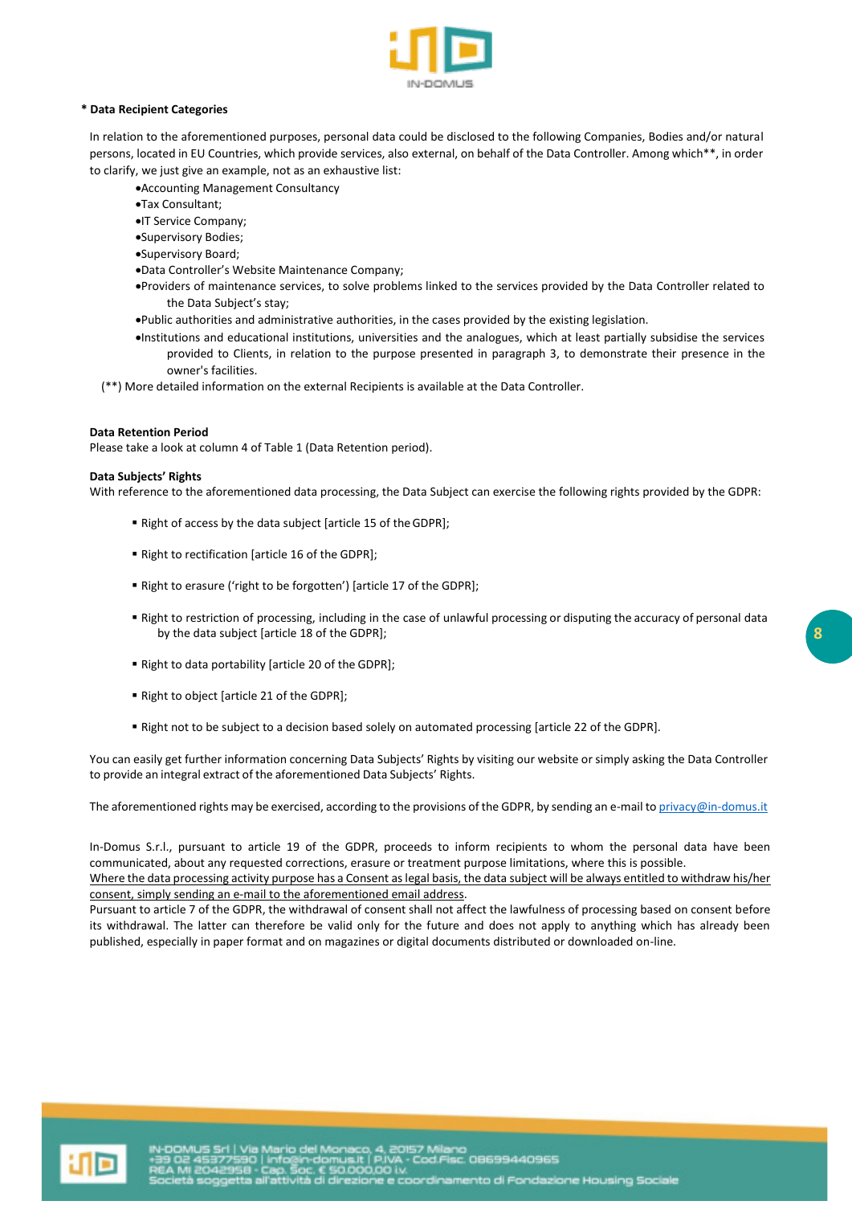

## **\* Data Recipient Categories**

In relation to the aforementioned purposes, personal data could be disclosed to the following Companies, Bodies and/or natural persons, located in EU Countries, which provide services, also external, on behalf of the Data Controller. Among which\*\*, in order to clarify, we just give an example, not as an exhaustive list:

- •Accounting Management Consultancy
- •Tax Consultant;
- •IT Service Company;
- •Supervisory Bodies;
- •Supervisory Board;
- •Data Controller's Website Maintenance Company;
- •Providers of maintenance services, to solve problems linked to the services provided by the Data Controller related to the Data Subject's stay;
- •Public authorities and administrative authorities, in the cases provided by the existing legislation.
- •Institutions and educational institutions, universities and the analogues, which at least partially subsidise the services provided to Clients, in relation to the purpose presented in paragraph 3, to demonstrate their presence in the owner's facilities.
- (\*\*) More detailed information on the external Recipients is available at the Data Controller.

#### **Data Retention Period**

Please take a look at column 4 of Table 1 (Data Retention period).

#### **Data Subjects' Rights**

With reference to the aforementioned data processing, the Data Subject can exercise the following rights provided by the GDPR:

- Right of access by the data subject [article 15 of the GDPR];
- Right to rectification [article 16 of the GDPR];
- Right to erasure ('right to be forgotten') [article 17 of the GDPR];
- Right to restriction of processing, including in the case of unlawful processing or disputing the accuracy of personal data by the data subject [article 18 of the GDPR];
- Right to data portability [article 20 of the GDPR];
- Right to object [article 21 of the GDPR];
- Right not to be subject to a decision based solely on automated processing [article 22 of the GDPR].

You can easily get further information concerning Data Subjects' Rights by visiting our website or simply asking the Data Controller to provide an integral extract of the aforementioned Data Subjects' Rights.

The aforementioned rights may be exercised, according to the provisions of the GDPR, by sending an e-mail to privacy@in-domus.it

In-Domus S.r.l., pursuant to article 19 of the GDPR, proceeds to inform recipients to whom the personal data have been communicated, about any requested corrections, erasure or treatment purpose limitations, where this is possible. Where the data processing activity purpose has a Consent as legal basis, the data subject will be always entitled to withdraw his/her

consent, simply sending an e-mail to the aforementioned email address. Pursuant to article 7 of the GDPR, the withdrawal of consent shall not affect the lawfulness of processing based on consent before its withdrawal. The latter can therefore be valid only for the future and does not apply to anything which has already been published, especially in paper format and on magazines or digital documents distributed or downloaded on-line.

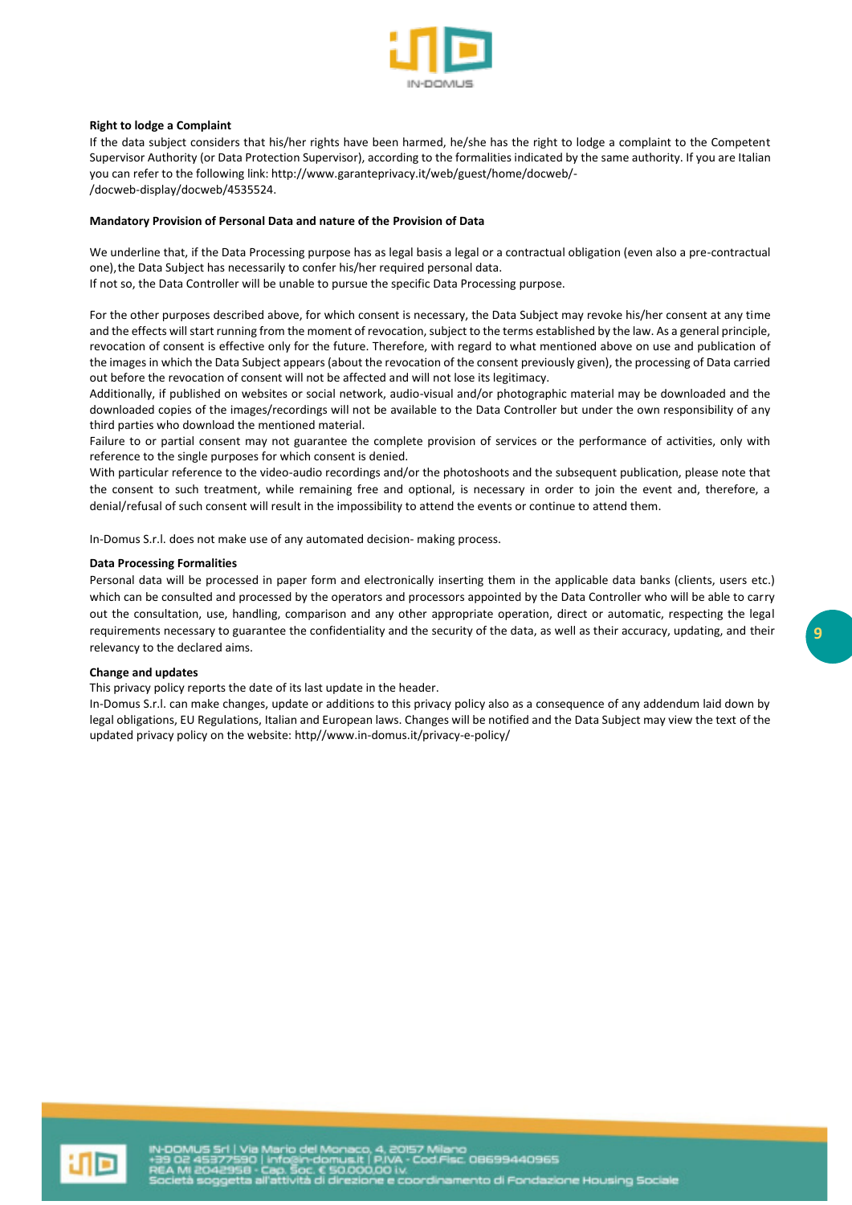

### **Right to lodge a Complaint**

If the data subject considers that his/her rights have been harmed, he/she has the right to lodge a complaint to the Competent Supervisor Authority (or Data Protection Supervisor), according to the formalities indicated by the same authority. If you are Italian you can refer to the following link[: http://www.garanteprivacy.it/web/guest/home/docweb/-](http://www.garanteprivacy.it/web/guest/home/docweb/-)  /docweb-display/docweb/4535524.

#### **Mandatory Provision of Personal Data and nature of the Provision of Data**

We underline that, if the Data Processing purpose has as legal basis a legal or a contractual obligation (even also a pre-contractual one), the Data Subject has necessarily to confer his/her required personal data. If not so, the Data Controller will be unable to pursue the specific Data Processing purpose.

For the other purposes described above, for which consent is necessary, the Data Subject may revoke his/her consent at any time and the effects will start running from the moment of revocation, subject to the terms established by the law. As a general principle, revocation of consent is effective only for the future. Therefore, with regard to what mentioned above on use and publication of the images in which the Data Subject appears (about the revocation of the consent previously given), the processing of Data carried

out before the revocation of consent will not be affected and will not lose its legitimacy. Additionally, if published on websites or social network, audio-visual and/or photographic material may be downloaded and the downloaded copies of the images/recordings will not be available to the Data Controller but under the own responsibility of any third parties who download the mentioned material.

Failure to or partial consent may not guarantee the complete provision of services or the performance of activities, only with reference to the single purposes for which consent is denied.

With particular reference to the video-audio recordings and/or the photoshoots and the subsequent publication, please note that the consent to such treatment, while remaining free and optional, is necessary in order to join the event and, therefore, a denial/refusal of such consent will result in the impossibility to attend the events or continue to attend them.

In-Domus S.r.l. does not make use of any automated decision- making process.

### **Data Processing Formalities**

Personal data will be processed in paper form and electronically inserting them in the applicable data banks (clients, users etc.) which can be consulted and processed by the operators and processors appointed by the Data Controller who will be able to carry out the consultation, use, handling, comparison and any other appropriate operation, direct or automatic, respecting the legal requirements necessary to guarantee the confidentiality and the security of the data, as well as their accuracy, updating, and their relevancy to the declared aims.

#### **Change and updates**

This privacy policy reports the date of its last update in the header.

In-Domus S.r.l. can make changes, update or additions to this privacy policy also as a consequence of any addendum laid down by legal obligations, EU Regulations, Italian and European laws. Changes will be notified and the Data Subject may view the text of the updated privacy policy on the website: http//www.in-domus.it/privacy-e-policy/

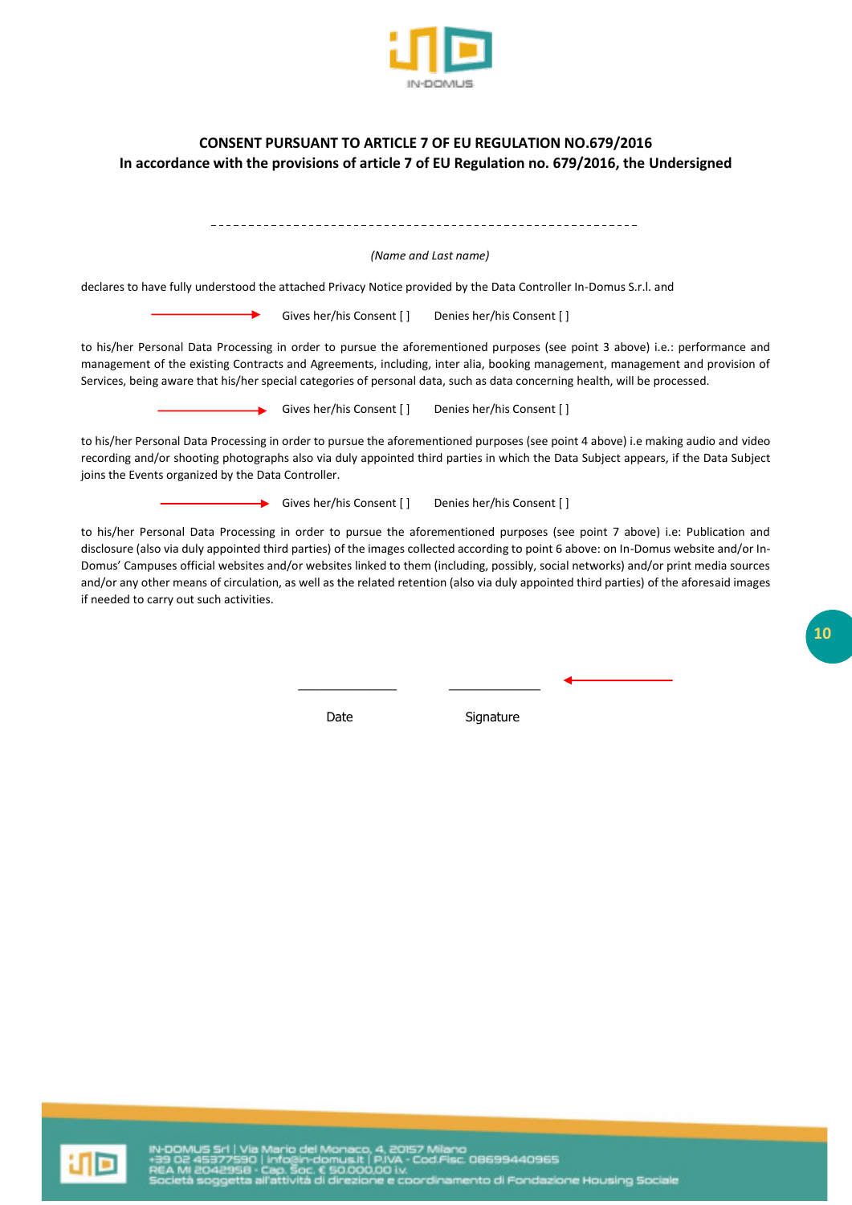

# **CONSENT PURSUANT TO ARTICLE 7 OF EU REGULATION NO.679/2016 In accordance with the provisions of article 7 of EU Regulation no. 679/2016, the Undersigned**

| (Name and Last name)                                                                                                                                                                                                                                                                                                                                                                                                                                                                                                                                                                             |  |  |  |  |  |
|--------------------------------------------------------------------------------------------------------------------------------------------------------------------------------------------------------------------------------------------------------------------------------------------------------------------------------------------------------------------------------------------------------------------------------------------------------------------------------------------------------------------------------------------------------------------------------------------------|--|--|--|--|--|
| declares to have fully understood the attached Privacy Notice provided by the Data Controller In-Domus S.r.l. and                                                                                                                                                                                                                                                                                                                                                                                                                                                                                |  |  |  |  |  |
| Gives her/his Consent []<br>Denies her/his Consent []                                                                                                                                                                                                                                                                                                                                                                                                                                                                                                                                            |  |  |  |  |  |
| to his/her Personal Data Processing in order to pursue the aforementioned purposes (see point 3 above) i.e.: performance and<br>management of the existing Contracts and Agreements, including, inter alia, booking management, management and provision of<br>Services, being aware that his/her special categories of personal data, such as data concerning health, will be processed.                                                                                                                                                                                                        |  |  |  |  |  |
| Gives her/his Consent []<br>Denies her/his Consent []                                                                                                                                                                                                                                                                                                                                                                                                                                                                                                                                            |  |  |  |  |  |
| to his/her Personal Data Processing in order to pursue the aforementioned purposes (see point 4 above) i.e making audio and video<br>recording and/or shooting photographs also via duly appointed third parties in which the Data Subject appears, if the Data Subject<br>joins the Events organized by the Data Controller.                                                                                                                                                                                                                                                                    |  |  |  |  |  |
| $\rightarrow$ Gives her/his Consent []<br>Denies her/his Consent []                                                                                                                                                                                                                                                                                                                                                                                                                                                                                                                              |  |  |  |  |  |
| to his/her Personal Data Processing in order to pursue the aforementioned purposes (see point 7 above) i.e: Publication and<br>disclosure (also via duly appointed third parties) of the images collected according to point 6 above: on In-Domus website and/or In-<br>Domus' Campuses official websites and/or websites linked to them (including, possibly, social networks) and/or print media sources<br>and/or any other means of circulation, as well as the related retention (also via duly appointed third parties) of the aforesaid images<br>if needed to carry out such activities. |  |  |  |  |  |

 $\mathcal{L}_\text{max}$  , and the contract of the contract of the contract of the contract of the contract of the contract of the contract of the contract of the contract of the contract of the contract of the contract of the contr

Date Signature

**10**

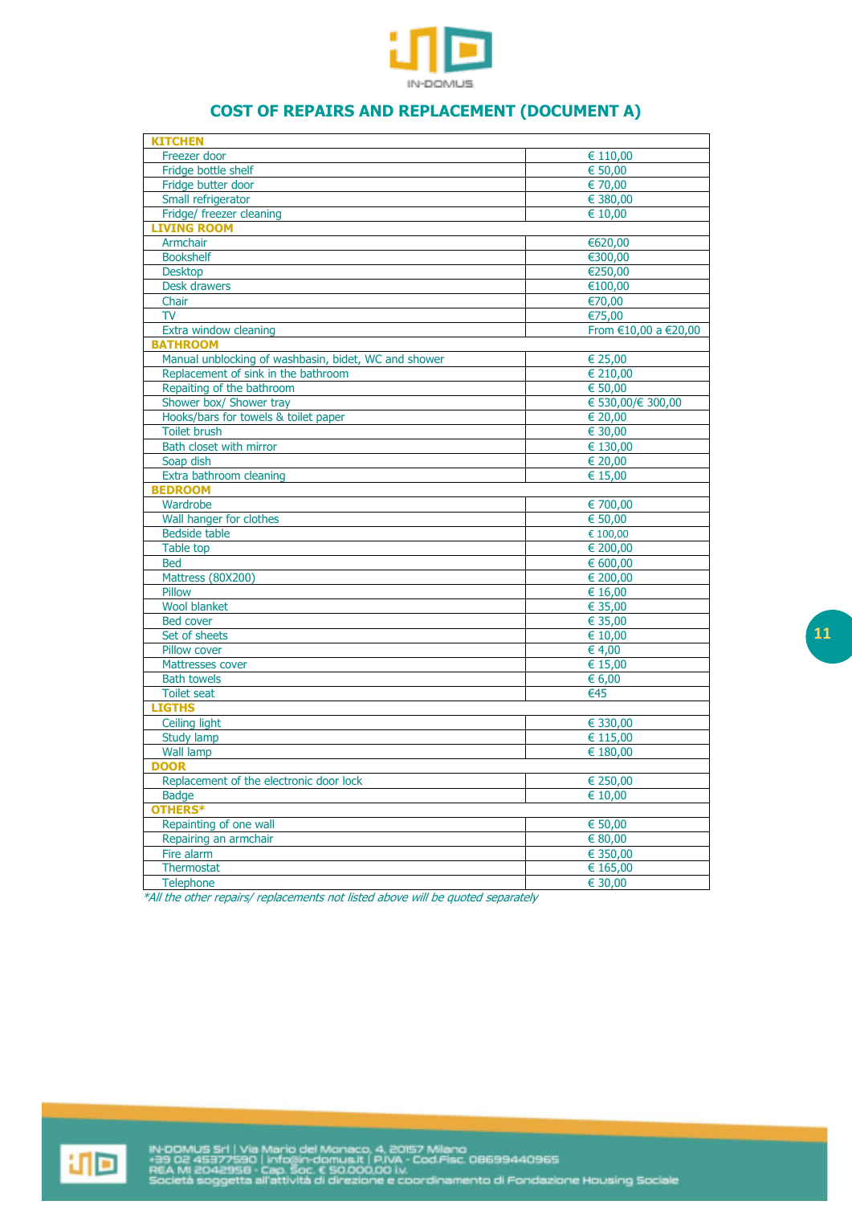

# **COST OF REPAIRS AND REPLACEMENT (DOCUMENT A)**

| <b>KITCHEN</b>                                       |                          |
|------------------------------------------------------|--------------------------|
| Freezer door                                         | € 110,00                 |
| Fridge bottle shelf                                  | 650,00                   |
| Fridge butter door                                   | € 70,00                  |
| Small refrigerator                                   | € 380,00                 |
| Fridge/ freezer cleaning                             | € 10,00                  |
| <b>LIVING ROOM</b>                                   |                          |
| Armchair                                             | €620,00                  |
| <b>Bookshelf</b>                                     | €300,00                  |
| <b>Desktop</b>                                       | €250,00                  |
| Desk drawers                                         | €100,00                  |
| Chair                                                | €70,00                   |
| <b>TV</b>                                            | €75,00                   |
| Extra window cleaning                                | From €10,00 a €20,00     |
| <b>BATHROOM</b>                                      |                          |
| Manual unblocking of washbasin, bidet, WC and shower | € 25,00                  |
|                                                      |                          |
| Replacement of sink in the bathroom                  | € 210,00                 |
| Repaiting of the bathroom                            | € 50,00                  |
| Shower box/ Shower tray                              | € 530,00/€ 300,00        |
| Hooks/bars for towels & toilet paper                 | € 20,00                  |
| <b>Toilet brush</b>                                  | € 30,00                  |
| Bath closet with mirror                              | € 130,00                 |
| Soap dish                                            | € 20,00                  |
| Extra bathroom cleaning                              | € $15,00$                |
| <b>BEDROOM</b>                                       |                          |
| Wardrobe                                             | € 700,00                 |
| Wall hanger for clothes                              | € 50,00                  |
| <b>Bedside table</b>                                 | € 100,00                 |
| Table top                                            | € 200,00                 |
| <b>Bed</b>                                           | € 600,00                 |
| Mattress (80X200)                                    | € 200,00                 |
| Pillow                                               | € 16,00                  |
| <b>Wool blanket</b>                                  | € 35,00                  |
| <b>Bed cover</b>                                     | € 35,00                  |
| Set of sheets                                        | € 10,00                  |
| Pillow cover                                         | € 4,00                   |
| Mattresses cover                                     | € 15,00                  |
| <b>Bath towels</b>                                   | € 6,00                   |
| <b>Toilet seat</b>                                   | $\overline{\epsilon}$ 45 |
| <b>LIGTHS</b>                                        |                          |
| <b>Ceiling light</b>                                 | € 330,00                 |
| Study lamp                                           | € 115,00                 |
| <b>Wall lamp</b>                                     | € 180,00                 |
| <b>DOOR</b>                                          |                          |
| Replacement of the electronic door lock              | € 250,00                 |
| <b>Badge</b>                                         | € 10,00                  |
| OTHERS*                                              |                          |
| Repainting of one wall                               | € 50,00                  |
| Repairing an armchair                                | $\sqrt{680,00}$          |
| Fire alarm                                           | € 350,00                 |
| Thermostat                                           | € 165,00                 |
| Telephone                                            | 630,00                   |
|                                                      |                          |

\*All the other repairs/ replacements not listed above will be quoted separately